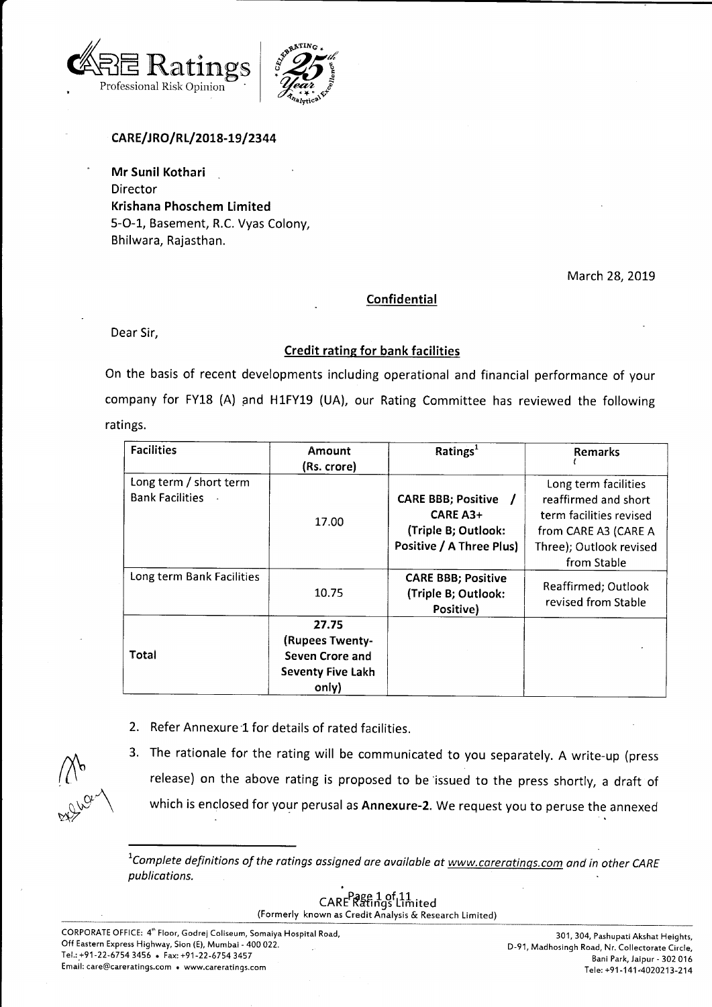



# CARE/JRO/RL/2018-19/2344

Mr Sunil Kothari Director Krishana Phoschem Limited 5-O-1, Basement, R.C. Vyas Colony, Bhilwara, Rajasthan.

March 28, 2019

## Confidential

Dear Sir,

## Credit ratine for bank facilities

On the basis of recent developments including operational and financial performance of your company for FY18 (A) and H1FY19 (UA), our Rating Committee has reviewed the following ratings.

| <b>Facilities</b>                                | Amount<br>(Rs. crore)                                                            | Ratings <sup>1</sup>                                                                            | <b>Remarks</b>                                                                                                                            |
|--------------------------------------------------|----------------------------------------------------------------------------------|-------------------------------------------------------------------------------------------------|-------------------------------------------------------------------------------------------------------------------------------------------|
| Long term / short term<br><b>Bank Facilities</b> | 17.00                                                                            | <b>CARE BBB; Positive</b><br><b>CARE A3+</b><br>(Triple B; Outlook:<br>Positive / A Three Plus) | Long term facilities<br>reaffirmed and short<br>term facilities revised<br>from CARE A3 (CARE A<br>Three); Outlook revised<br>from Stable |
| Long term Bank Facilities                        | 10.75                                                                            | <b>CARE BBB; Positive</b><br>(Triple B; Outlook:<br>Positive)                                   | Reaffirmed; Outlook<br>revised from Stable                                                                                                |
| Total                                            | 27.75<br>(Rupees Twenty-<br>Seven Crore and<br><b>Seventy Five Lakh</b><br>only) |                                                                                                 |                                                                                                                                           |

2. Refer Annexure'1 for details of rated facilities.

 $\bigwedge\!\!{}^\circ\!\!\mathsf{b}$ **1249-102** 

3. The rationale for the rating will be communicated to you separately. A write-up (press release) on the above rating is proposed to be issued to the press shortly, a draft of which is enclosed for your perusal as Annexure-2. We request you to peruse the annexed

<sup>1</sup>Complete definitions of the ratings assigned are available at  $www.careratings.com$  and in other CARE publications.

CARE Ratings Limited

(Formerly known as Credit Analysis & Research Limited)

CORPORATE OFFICE: 4" Floor, Godrej Coliseum, Somaiya Hospital Road, Off Eastern Express Highway, Sion (E), Mumbai - 400 022. Tel.: +91-22-6754 3456 . Fax: +91-22-6754 3457 Email: care@careratings.com . www.careratings.com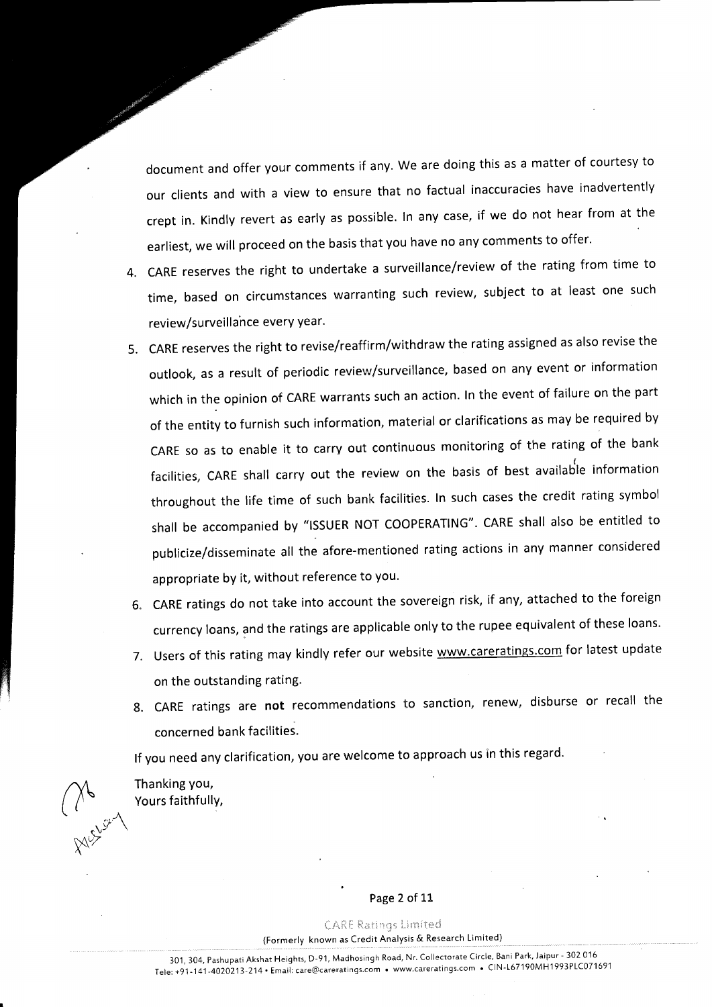document and offer your comments if any. we are doing this as a matter of courtesy to our clients and with a view to ensure that no factual inaccuracies have inadvertently crept in. Kindly revert as early as possible. ln any case, if we do not hear from at the earliest, we will proceed on the basis that you have no any comments to offer.

- 4. GARE reserves the right to undertake a surveillance/review of the rating from time to time, based on circumstances warranting such review, subject to at least one such review/surveillance every year.
- 5. CARE reserves the right to revise/reaffirm/withdraw the rating assigned as also revise the outlook, as a result of periodic review/surveillance, based on any event or information which in the opinion of CARE warrants such an action. ln the event of failure on the part of the entity to furnish such information, material or clarifications as may be required by CARE so as to enable it to carry out continuous monitoring of the rating of the bank facilities, CARE shall carry out the review on the basis of best available information throughout the life time of such bank facilities. ln such cases the credit rating symbol shall be accompanied by "lssUER NOT COOPERATING". CARE shall also be entitled to publicize/disseminate all the afore-mentioned rating actions in any manner considered appropriate by it, without reference to you.
- 6. CARE ratings do not take into account the sovereign risk, if any, attached to the foreign currency loans, and the ratings are applicable only to the rupee equivalent of these loans.
- 7. Users of this rating may kindly refer our website www.careratings.com for latest update on the outstanding rating.
- 8. CARE ratings are not recommendations to sanction, renew, disburse or recall the concerned bank facilities.

lf you need any clarification, you are welcome to approach us in this regard

Thanking you, Yours faithfullY,

 $\gamma$  $($  (  $\prime$ 

 $\frac{1}{2}$ 

 $X^{\chi\chi}$ 

#### Page 2 of 11

**CARE Ratings Limited** (Formerly known as Credit Analysis & Research Limited)